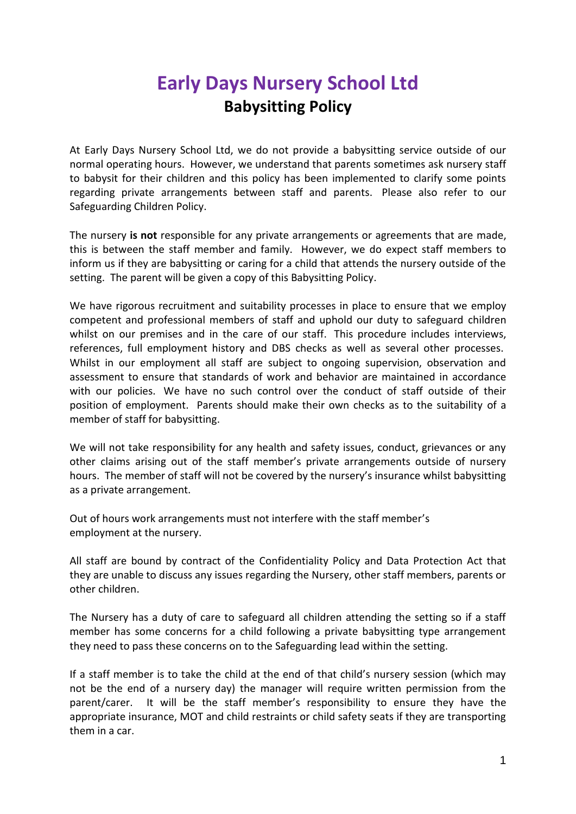## **Early Days Nursery School Ltd Babysitting Policy**

At Early Days Nursery School Ltd, we do not provide a babysitting service outside of our normal operating hours. However, we understand that parents sometimes ask nursery staff to babysit for their children and this policy has been implemented to clarify some points regarding private arrangements between staff and parents. Please also refer to our Safeguarding Children Policy.

The nursery **is not** responsible for any private arrangements or agreements that are made, this is between the staff member and family. However, we do expect staff members to inform us if they are babysitting or caring for a child that attends the nursery outside of the setting. The parent will be given a copy of this Babysitting Policy.

We have rigorous recruitment and suitability processes in place to ensure that we employ competent and professional members of staff and uphold our duty to safeguard children whilst on our premises and in the care of our staff. This procedure includes interviews, references, full employment history and DBS checks as well as several other processes. Whilst in our employment all staff are subject to ongoing supervision, observation and assessment to ensure that standards of work and behavior are maintained in accordance with our policies. We have no such control over the conduct of staff outside of their position of employment. Parents should make their own checks as to the suitability of a member of staff for babysitting.

We will not take responsibility for any health and safety issues, conduct, grievances or any other claims arising out of the staff member's private arrangements outside of nursery hours. The member of staff will not be covered by the nursery's insurance whilst babysitting as a private arrangement.

Out of hours work arrangements must not interfere with the staff member's employment at the nursery.

All staff are bound by contract of the Confidentiality Policy and Data Protection Act that they are unable to discuss any issues regarding the Nursery, other staff members, parents or other children.

The Nursery has a duty of care to safeguard all children attending the setting so if a staff member has some concerns for a child following a private babysitting type arrangement they need to pass these concerns on to the Safeguarding lead within the setting.

If a staff member is to take the child at the end of that child's nursery session (which may not be the end of a nursery day) the manager will require written permission from the parent/carer. It will be the staff member's responsibility to ensure they have the appropriate insurance, MOT and child restraints or child safety seats if they are transporting them in a car.